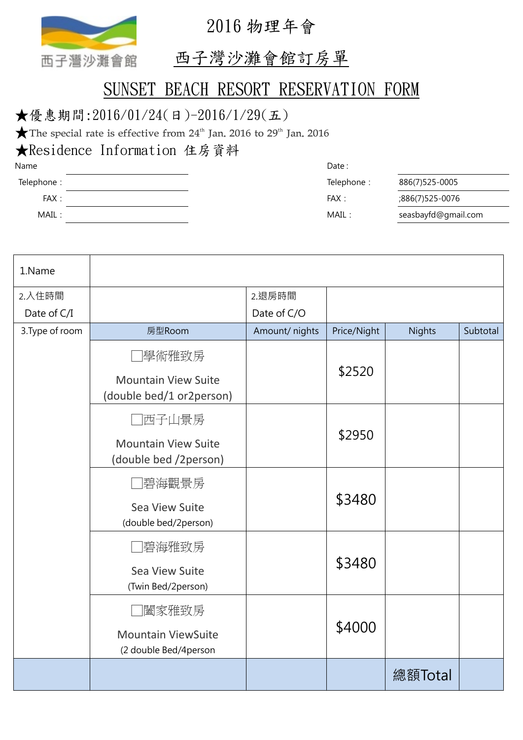

2016 物理年會

## 西子灣沙灘會館訂房單

## SUNSET BEACH RESORT RESERVATION FORM

## ★優惠期間:2016/01/24(日)-2016/1/29(五)

 $\bigstar$ The special rate is effective from 24<sup>th</sup> Jan. 2016 to 29<sup>th</sup> Jan. 2016

★Residence Information 住房資料

| Name       | Date:      |                     |
|------------|------------|---------------------|
| Telephone: | Telephone: | 886(7)525-0005      |
| FAX:       | FAX:       | 886(7)525-0076;     |
| MAIL:      | MAIL:      | seasbayfd@gmail.com |

| 1.Name          |                                                        |                |             |               |          |
|-----------------|--------------------------------------------------------|----------------|-------------|---------------|----------|
| 2.入住時間          |                                                        | 2.退房時間         |             |               |          |
| Date of C/I     |                                                        | Date of C/O    |             |               |          |
| 3. Type of room | 房型Room                                                 | Amount/ nights | Price/Night | <b>Nights</b> | Subtotal |
|                 | 學術雅致房                                                  |                | \$2520      |               |          |
|                 | <b>Mountain View Suite</b><br>(double bed/1 or2person) |                |             |               |          |
|                 | 西子山景房                                                  |                | \$2950      |               |          |
|                 | <b>Mountain View Suite</b><br>(double bed /2person)    |                |             |               |          |
|                 | 碧海觀景房<br>\$3480                                        |                |             |               |          |
|                 | Sea View Suite<br>(double bed/2person)                 |                |             |               |          |
|                 | 碧海雅致房                                                  |                | \$3480      |               |          |
|                 | Sea View Suite<br>(Twin Bed/2person)                   |                |             |               |          |
|                 | 闔家雅致房                                                  |                |             |               |          |
|                 | <b>Mountain ViewSuite</b><br>(2 double Bed/4person     | \$4000         |             |               |          |
|                 |                                                        |                |             | 總額Total       |          |